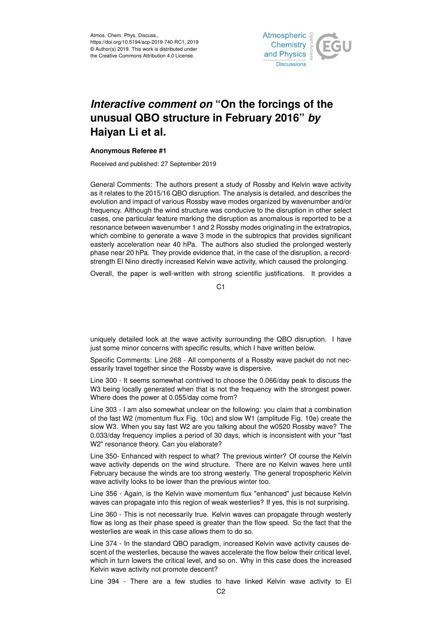

## *Interactive comment on* **"On the forcings of the unusual QBO structure in February 2016"** *by* **Haiyan Li et al.**

## **Anonymous Referee #1**

Received and published: 27 September 2019

General Comments: The authors present a study of Rossby and Kelvin wave activity as it relates to the 2015/16 QBO disruption. The analysis is detailed, and describes the evolution and impact of various Rossby wave modes organized by wavenumber and/or frequency. Although the wind structure was conducive to the disruption in other select cases, one particular feature marking the disruption as anomalous is reported to be a resonance between wavenumber 1 and 2 Rossby modes originating in the extratropics, which combine to generate a wave 3 mode in the subtropics that provides significant easterly acceleration near 40 hPa. The authors also studied the prolonged westerly phase near 20 hPa. They provide evidence that, in the case of the disruption, a recordstrength El Nino directly increased Kelvin wave activity, which caused the prolonging.

Overall, the paper is well-written with strong scientific justifications. It provides a

 $C<sub>1</sub>$ 

uniquely detailed look at the wave activity surrounding the QBO disruption. I have just some minor concerns with specific results, which I have written below.

Specific Comments: Line 268 - All components of a Rossby wave packet do not necessarily travel together since the Rossby wave is dispersive.

Line 300 - It seems somewhat contrived to choose the 0.066/day peak to discuss the W3 being locally generated when that is not the frequency with the strongest power. Where does the power at 0.055/day come from?

Line 303 - I am also somewhat unclear on the following: you claim that a combination of the fast W2 (momentum flux Fig. 10c) and slow W1 (amplitude Fig. 10e) create the slow W3. When you say fast W2 are you talking about the w0520 Rossby wave? The 0.033/day frequency implies a period of 30 days, which is inconsistent with your "fast W2" resonance theory. Can you elaborate?

Line 350- Enhanced with respect to what? The previous winter? Of course the Kelvin wave activity depends on the wind structure. There are no Kelvin waves here until February because the winds are too strong westerly. The general tropospheric Kelvin wave activity looks to be lower than the previous winter too.

Line 356 - Again, is the Kelvin wave momentum flux "enhanced" just because Kelvin waves can propagate into this region of weak westerlies? If yes, this is not surprising.

Line 360 - This is not necessarily true. Kelvin waves can propagate through westerly flow as long as their phase speed is greater than the flow speed. So the fact that the westerlies are weak in this case allows them to do so.

Line 374 - In the standard QBO paradigm, increased Kelvin wave activity causes descent of the westerlies, because the waves accelerate the flow below their critical level, which in turn lowers the critical level, and so on. Why in this case does the increased Kelvin wave activity not promote descent?

Line 394 - There are a few studies to have linked Kelvin wave activity to El